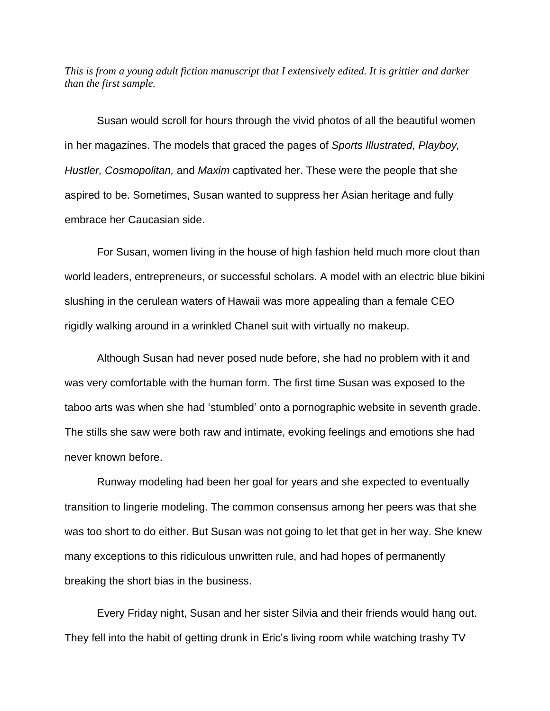*This is from a young adult fiction manuscript that I extensively edited. It is grittier and darker than the first sample.*

Susan would scroll for hours through the vivid photos of all the beautiful women in her magazines. The models that graced the pages of *Sports Illustrated, Playboy, Hustler, Cosmopolitan,* and *Maxim* captivated her. These were the people that she aspired to be. Sometimes, Susan wanted to suppress her Asian heritage and fully embrace her Caucasian side.

For Susan, women living in the house of high fashion held much more clout than world leaders, entrepreneurs, or successful scholars. A model with an electric blue bikini slushing in the cerulean waters of Hawaii was more appealing than a female CEO rigidly walking around in a wrinkled Chanel suit with virtually no makeup.

Although Susan had never posed nude before, she had no problem with it and was very comfortable with the human form. The first time Susan was exposed to the taboo arts was when she had 'stumbled' onto a pornographic website in seventh grade. The stills she saw were both raw and intimate, evoking feelings and emotions she had never known before.

Runway modeling had been her goal for years and she expected to eventually transition to lingerie modeling. The common consensus among her peers was that she was too short to do either. But Susan was not going to let that get in her way. She knew many exceptions to this ridiculous unwritten rule, and had hopes of permanently breaking the short bias in the business.

Every Friday night, Susan and her sister Silvia and their friends would hang out. They fell into the habit of getting drunk in Eric's living room while watching trashy TV